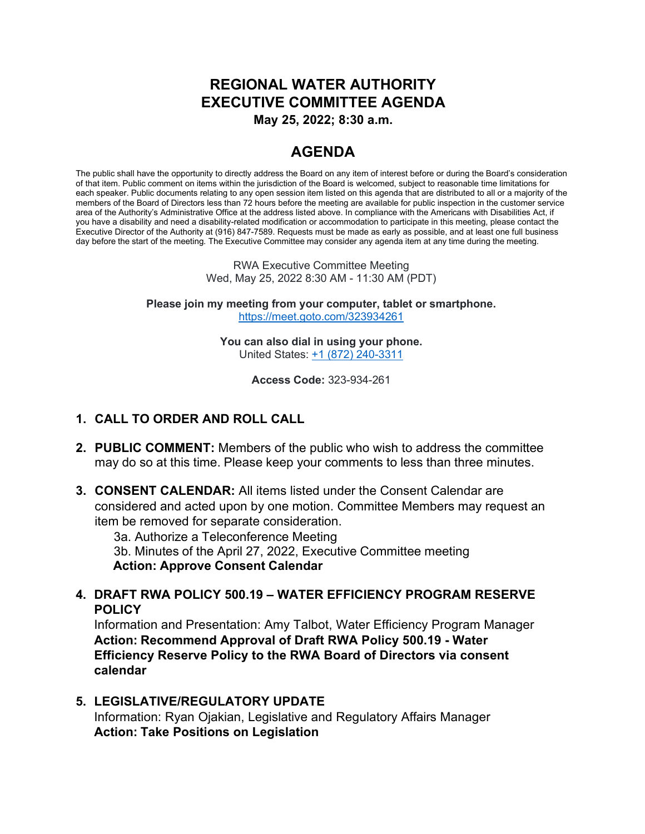# **REGIONAL WATER AUTHORITY EXECUTIVE COMMITTEE AGENDA**

**May 25, 2022; 8:30 a.m.**

## **AGENDA**

The public shall have the opportunity to directly address the Board on any item of interest before or during the Board's consideration of that item. Public comment on items within the jurisdiction of the Board is welcomed, subject to reasonable time limitations for each speaker. Public documents relating to any open session item listed on this agenda that are distributed to all or a majority of the members of the Board of Directors less than 72 hours before the meeting are available for public inspection in the customer service area of the Authority's Administrative Office at the address listed above. In compliance with the Americans with Disabilities Act, if you have a disability and need a disability-related modification or accommodation to participate in this meeting, please contact the Executive Director of the Authority at (916) 847-7589. Requests must be made as early as possible, and at least one full business day before the start of the meeting. The Executive Committee may consider any agenda item at any time during the meeting.

> RWA Executive Committee Meeting Wed, May 25, 2022 8:30 AM - 11:30 AM (PDT)

**Please join my meeting from your computer, tablet or smartphone.** <https://meet.goto.com/323934261>

> **You can also dial in using your phone.** United States: [+1 \(872\) 240-3311](tel:+18722403311,,323934261)

> > **Access Code:** 323-934-261

#### **1. CALL TO ORDER AND ROLL CALL**

- **2. PUBLIC COMMENT:** Members of the public who wish to address the committee may do so at this time. Please keep your comments to less than three minutes.
- **3. CONSENT CALENDAR:** All items listed under the Consent Calendar are considered and acted upon by one motion. Committee Members may request an item be removed for separate consideration.

3a. Authorize a Teleconference Meeting

3b. Minutes of the April 27, 2022, Executive Committee meeting **Action: Approve Consent Calendar**

**4. DRAFT RWA POLICY 500.19 – WATER EFFICIENCY PROGRAM RESERVE POLICY**

Information and Presentation: Amy Talbot, Water Efficiency Program Manager **Action: Recommend Approval of Draft RWA Policy 500.19 - Water Efficiency Reserve Policy to the RWA Board of Directors via consent calendar**

**5. LEGISLATIVE/REGULATORY UPDATE** Information: Ryan Ojakian, Legislative and Regulatory Affairs Manager **Action: Take Positions on Legislation**